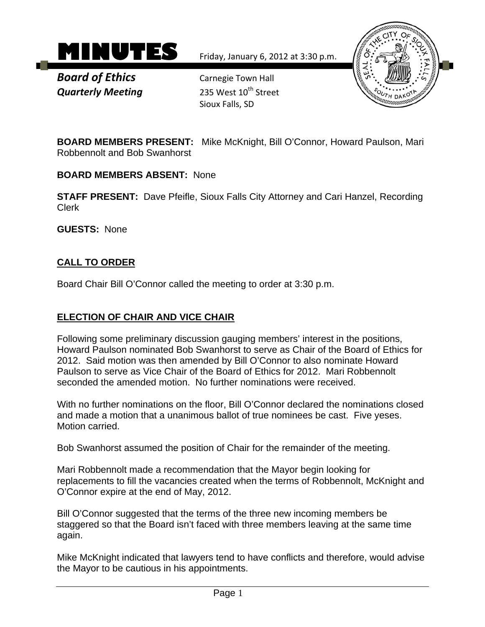

*Board of Ethics* *Carnegie Town Hall Quarterly Meeting* 235 West 10<sup>th</sup> Street

Sioux Falls, SD



**BOARD MEMBERS PRESENT:** Mike McKnight, Bill O'Connor, Howard Paulson, Mari Robbennolt and Bob Swanhorst

**BOARD MEMBERS ABSENT:** None

**STAFF PRESENT:** Dave Pfeifle, Sioux Falls City Attorney and Cari Hanzel, Recording Clerk

**GUESTS:** None

## **CALL TO ORDER**

Board Chair Bill O'Connor called the meeting to order at 3:30 p.m.

## **ELECTION OF CHAIR AND VICE CHAIR**

Following some preliminary discussion gauging members' interest in the positions, Howard Paulson nominated Bob Swanhorst to serve as Chair of the Board of Ethics for 2012. Said motion was then amended by Bill O'Connor to also nominate Howard Paulson to serve as Vice Chair of the Board of Ethics for 2012. Mari Robbennolt seconded the amended motion. No further nominations were received.

With no further nominations on the floor, Bill O'Connor declared the nominations closed and made a motion that a unanimous ballot of true nominees be cast. Five yeses. Motion carried.

Bob Swanhorst assumed the position of Chair for the remainder of the meeting.

Mari Robbennolt made a recommendation that the Mayor begin looking for replacements to fill the vacancies created when the terms of Robbennolt, McKnight and O'Connor expire at the end of May, 2012.

Bill O'Connor suggested that the terms of the three new incoming members be staggered so that the Board isn't faced with three members leaving at the same time again.

Mike McKnight indicated that lawyers tend to have conflicts and therefore, would advise the Mayor to be cautious in his appointments.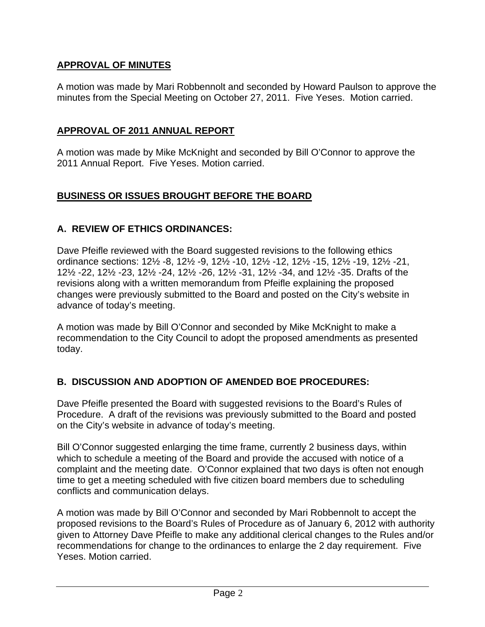# **APPROVAL OF MINUTES**

A motion was made by Mari Robbennolt and seconded by Howard Paulson to approve the minutes from the Special Meeting on October 27, 2011. Five Yeses. Motion carried.

### **APPROVAL OF 2011 ANNUAL REPORT**

A motion was made by Mike McKnight and seconded by Bill O'Connor to approve the 2011 Annual Report. Five Yeses. Motion carried.

#### **BUSINESS OR ISSUES BROUGHT BEFORE THE BOARD**

### **A. REVIEW OF ETHICS ORDINANCES:**

Dave Pfeifle reviewed with the Board suggested revisions to the following ethics ordinance sections: 12½ -8, 12½ -9, 12½ -10, 12½ -12, 12½ -15, 12½ -19, 12½ -21, 12½ -22, 12½ -23, 12½ -24, 12½ -26, 12½ -31, 12½ -34, and 12½ -35. Drafts of the revisions along with a written memorandum from Pfeifle explaining the proposed changes were previously submitted to the Board and posted on the City's website in advance of today's meeting.

A motion was made by Bill O'Connor and seconded by Mike McKnight to make a recommendation to the City Council to adopt the proposed amendments as presented today.

## **B. DISCUSSION AND ADOPTION OF AMENDED BOE PROCEDURES:**

Dave Pfeifle presented the Board with suggested revisions to the Board's Rules of Procedure. A draft of the revisions was previously submitted to the Board and posted on the City's website in advance of today's meeting.

Bill O'Connor suggested enlarging the time frame, currently 2 business days, within which to schedule a meeting of the Board and provide the accused with notice of a complaint and the meeting date. O'Connor explained that two days is often not enough time to get a meeting scheduled with five citizen board members due to scheduling conflicts and communication delays.

A motion was made by Bill O'Connor and seconded by Mari Robbennolt to accept the proposed revisions to the Board's Rules of Procedure as of January 6, 2012 with authority given to Attorney Dave Pfeifle to make any additional clerical changes to the Rules and/or recommendations for change to the ordinances to enlarge the 2 day requirement. Five Yeses. Motion carried.